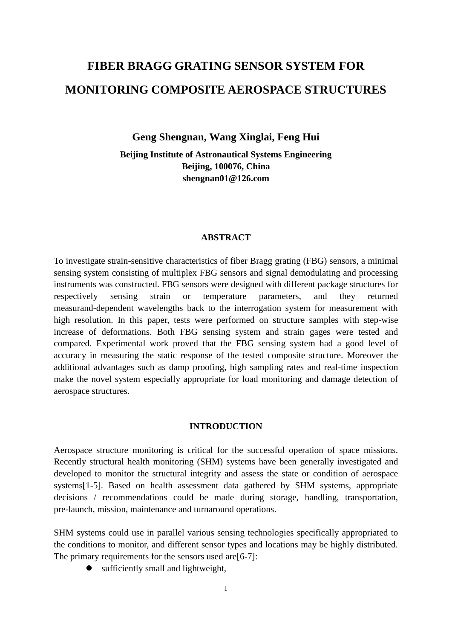# **FIBER BRAGG GRATING SENSOR SYSTEM FOR MONITORING COMPOSITE AEROSPACE STRUCTURES**

**Geng Shengnan, Wang Xinglai, Feng Hui**

**Beijing Institute of Astronautical Systems Engineering Beijing, 100076, China shengnan01@126.com**

## **ABSTRACT**

To investigate strain-sensitive characteristics of fiber Bragg grating (FBG) sensors, a minimal sensing system consisting of multiplex FBG sensors and signal demodulating and processing instruments was constructed. FBG sensors were designed with different package structures for respectively sensing strain or temperature parameters, and they returned measurand-dependent wavelengths back to the interrogation system for measurement with high resolution. In this paper, tests were performed on structure samples with step-wise increase of deformations. Both FBG sensing system and strain gages were tested and compared. Experimental work proved that the FBG sensing system had a good level of accuracy in measuring the static response of the tested composite structure. Moreover the additional advantages such as damp proofing, high sampling rates and real-time inspection make the novel system especially appropriate for load monitoring and damage detection of aerospace structures.

## **INTRODUCTION**

Aerospace structure monitoring is critical for the successful operation of space missions. Recently structural health monitoring (SHM) systems have been generally investigated and developed to monitor the structural integrity and assess the state or condition of aerospace systems[1-5]. Based on health assessment data gathered by SHM systems, appropriate decisions / recommendations could be made during storage, handling, transportation, pre-launch, mission, maintenance and turnaround operations.

SHM systems could use in parallel various sensing technologies specifically appropriated to the conditions to monitor, and different sensor types and locations may be highly distributed. The primary requirements for the sensors used are [6-7]:

sufficiently small and lightweight,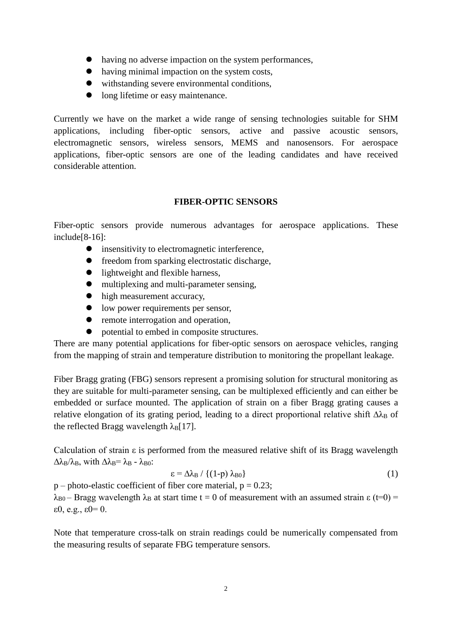- having no adverse impaction on the system performances,
- having minimal impaction on the system costs,
- withstanding severe environmental conditions,
- long lifetime or easy maintenance.

Currently we have on the market a wide range of sensing technologies suitable for SHM applications, including fiber-optic sensors, active and passive acoustic sensors, electromagnetic sensors, wireless sensors, MEMS and nanosensors. For aerospace applications, fiber-optic sensors are one of the leading candidates and have received considerable attention.

# **FIBER-OPTIC SENSORS**

Fiber-optic sensors provide numerous advantages for aerospace applications. These include[8-16]:

- insensitivity to electromagnetic interference,
- freedom from sparking electrostatic discharge,
- $\bullet$  lightweight and flexible harness,
- multiplexing and multi-parameter sensing,
- $\bullet$  high measurement accuracy,
- low power requirements per sensor,
- remote interrogation and operation.
- $\bullet$  potential to embed in composite structures.

There are many potential applications for fiber-optic sensors on aerospace vehicles, ranging from the mapping of strain and temperature distribution to monitoring the propellant leakage.

Fiber Bragg grating (FBG) sensors represent a promising solution for structural monitoring as they are suitable for multi-parameter sensing, can be multiplexed efficiently and can either be embedded or surface mounted. The application of strain on a fiber Bragg grating causes a relative elongation of its grating period, leading to a direct proportional relative shift  $\Delta\lambda_B$  of the reflected Bragg wavelength  $\lambda_B[17]$ .

Calculation of strain ε is performed from the measured relative shift of its Bragg wavelength  $\Delta\lambda_B/\lambda_B$ , with  $\Delta\lambda_B = \lambda_B - \lambda_{B0}$ :

$$
\varepsilon = \Delta \lambda_B / \left\{ (1-p) \lambda_{B0} \right\} \tag{1}
$$

 $p$  – photo-elastic coefficient of fiber core material,  $p = 0.23$ ;

 $λ_{B0}$  – Bragg wavelength  $λ_B$  at start time t = 0 of measurement with an assumed strain ε (t=0) = ε0, e.g., ε0= 0.

Note that temperature cross-talk on strain readings could be numerically compensated from the measuring results of separate FBG temperature sensors.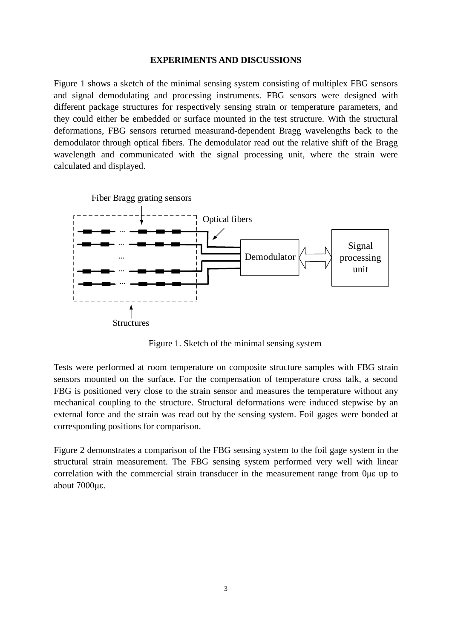## **EXPERIMENTS AND DISCUSSIONS**

Figure 1 shows a sketch of the minimal sensing system consisting of multiplex FBG sensors and signal demodulating and processing instruments. FBG sensors were designed with different package structures for respectively sensing strain or temperature parameters, and they could either be embedded or surface mounted in the test structure. With the structural deformations, FBG sensors returned measurand-dependent Bragg wavelengths back to the demodulator through optical fibers. The demodulator read out the relative shift of the Bragg wavelength and communicated with the signal processing unit, where the strain were calculated and displayed.



Figure 1. Sketch of the minimal sensing system

Tests were performed at room temperature on composite structure samples with FBG strain sensors mounted on the surface. For the compensation of temperature cross talk, a second FBG is positioned very close to the strain sensor and measures the temperature without any mechanical coupling to the structure. Structural deformations were induced stepwise by an external force and the strain was read out by the sensing system. Foil gages were bonded at corresponding positions for comparison.

Figure 2 demonstrates a comparison of the FBG sensing system to the foil gage system in the structural strain measurement. The FBG sensing system performed very well with linear correlation with the commercial strain transducer in the measurement range from 0με up to about 7000με.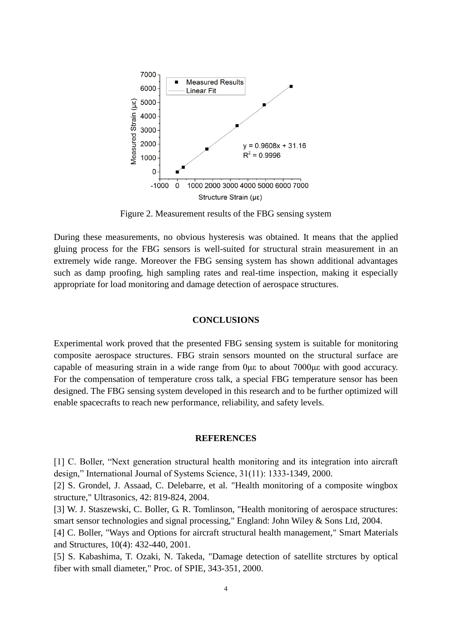

Figure 2. Measurement results of the FBG sensing system

During these measurements, no obvious hysteresis was obtained. It means that the applied gluing process for the FBG sensors is well-suited for structural strain measurement in an extremely wide range. Moreover the FBG sensing system has shown additional advantages such as damp proofing, high sampling rates and real-time inspection, making it especially appropriate for load monitoring and damage detection of aerospace structures.

## **CONCLUSIONS**

Experimental work proved that the presented FBG sensing system is suitable for monitoring composite aerospace structures. FBG strain sensors mounted on the structural surface are capable of measuring strain in a wide range from 0με to about 7000με with good accuracy. For the compensation of temperature cross talk, a special FBG temperature sensor has been designed. The FBG sensing system developed in this research and to be further optimized will enable spacecrafts to reach new performance, reliability, and safety levels.

### **REFERENCES**

[1] C. Boller, "Next generation structural health monitoring and its integration into aircraft design," International Journal of Systems Science, 31(11): 1333-1349, 2000.

[2] S. Grondel, J. Assaad, C. Delebarre, et al. "Health monitoring of a composite wingbox structure," Ultrasonics, 42: 819-824, 2004.

[3] W. J. Staszewski, C. Boller, G. R. Tomlinson, "Health monitoring of aerospace structures: smart sensor technologies and signal processing," England: John Wiley & Sons Ltd, 2004.

[4] C. Boller, "Ways and Options for aircraft structural health management," Smart Materials and Structures, 10(4): 432-440, 2001.

[5] S. Kabashima, T. Ozaki, N. Takeda, "Damage detection of satellite strctures by optical fiber with small diameter," Proc. of SPIE, 343-351, 2000.